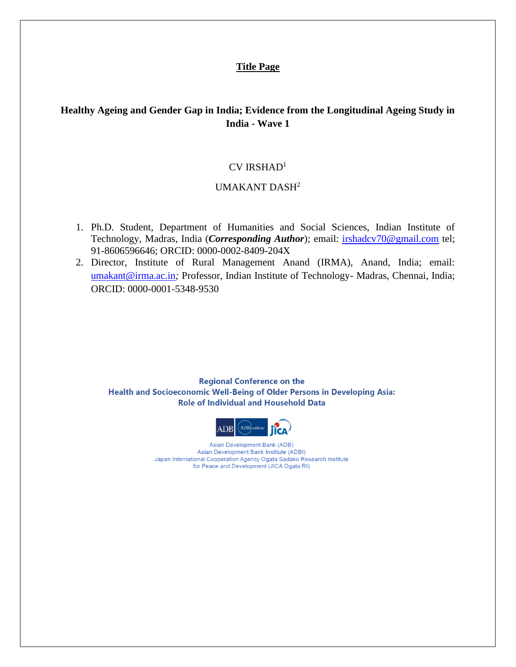#### **Title Page**

## **Healthy Ageing and Gender Gap in India; Evidence from the Longitudinal Ageing Study in India - Wave 1**

#### $CV$  IRSHAD<sup>1</sup>

## UMAKANT DASH<sup>2</sup>

- 1. Ph.D. Student, Department of Humanities and Social Sciences, Indian Institute of Technology, Madras, India (*Corresponding Author*); email: **irshadcv70@gmail.com** tel; 91-8606596646; ORCID: 0000-0002-8409-204X
- 2. Director, Institute of Rural Management Anand (IRMA), Anand, India; email: [umakant@irma.ac.in](mailto:umakant@irma.ac.in)*;* Professor, Indian Institute of Technology- Madras, Chennai, India; ORCID: 0000-0001-5348-9530

**Regional Conference on the** Health and Socioeconomic Well-Being of Older Persons in Developing Asia: **Role of Individual and Household Data** 



Asian Development Bank (ADB) Asian Development Bank Institute (ADBI) Japan International Cooperation Agency Ogata Sadako Research Institute for Peace and Development (JICA Ogata RI)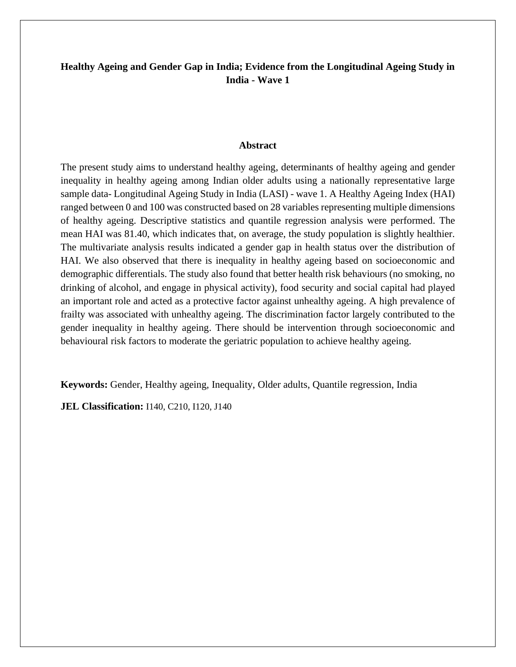## **Healthy Ageing and Gender Gap in India; Evidence from the Longitudinal Ageing Study in India - Wave 1**

#### **Abstract**

The present study aims to understand healthy ageing, determinants of healthy ageing and gender inequality in healthy ageing among Indian older adults using a nationally representative large sample data- Longitudinal Ageing Study in India (LASI) - wave 1. A Healthy Ageing Index (HAI) ranged between 0 and 100 was constructed based on 28 variables representing multiple dimensions of healthy ageing. Descriptive statistics and quantile regression analysis were performed. The mean HAI was 81.40, which indicates that, on average, the study population is slightly healthier. The multivariate analysis results indicated a gender gap in health status over the distribution of HAI. We also observed that there is inequality in healthy ageing based on socioeconomic and demographic differentials. The study also found that better health risk behaviours (no smoking, no drinking of alcohol, and engage in physical activity), food security and social capital had played an important role and acted as a protective factor against unhealthy ageing. A high prevalence of frailty was associated with unhealthy ageing. The discrimination factor largely contributed to the gender inequality in healthy ageing. There should be intervention through socioeconomic and behavioural risk factors to moderate the geriatric population to achieve healthy ageing.

**Keywords:** Gender, Healthy ageing, Inequality, Older adults, Quantile regression, India

**JEL Classification:** I140, C210, I120, J140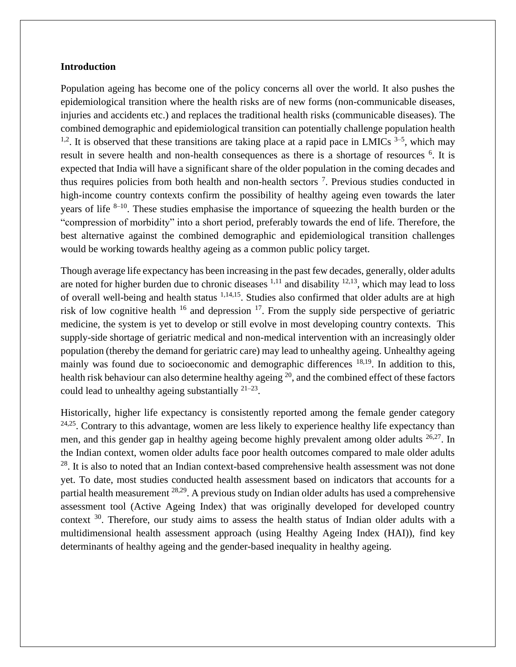#### **Introduction**

Population ageing has become one of the policy concerns all over the world. It also pushes the epidemiological transition where the health risks are of new forms (non-communicable diseases, injuries and accidents etc.) and replaces the traditional health risks (communicable diseases). The combined demographic and epidemiological transition can potentially challenge population health <sup>1,2</sup>. It is observed that these transitions are taking place at a rapid pace in LMICs  $3-5$ , which may result in severe health and non-health consequences as there is a shortage of resources <sup>6</sup>. It is expected that India will have a significant share of the older population in the coming decades and thus requires policies from both health and non-health sectors<sup>7</sup>. Previous studies conducted in high-income country contexts confirm the possibility of healthy ageing even towards the later years of life  $8-10$ . These studies emphasise the importance of squeezing the health burden or the "compression of morbidity" into a short period, preferably towards the end of life. Therefore, the best alternative against the combined demographic and epidemiological transition challenges would be working towards healthy ageing as a common public policy target.

Though average life expectancy has been increasing in the past few decades, generally, older adults are noted for higher burden due to chronic diseases  $1,11$  and disability  $12,13$ , which may lead to loss of overall well-being and health status <sup>1,14,15</sup>. Studies also confirmed that older adults are at high risk of low cognitive health  $16$  and depression  $17$ . From the supply side perspective of geriatric medicine, the system is yet to develop or still evolve in most developing country contexts. This supply-side shortage of geriatric medical and non-medical intervention with an increasingly older population (thereby the demand for geriatric care) may lead to unhealthy ageing. Unhealthy ageing mainly was found due to socioeconomic and demographic differences <sup>18,19</sup>. In addition to this, health risk behaviour can also determine healthy ageing  $20$ , and the combined effect of these factors could lead to unhealthy ageing substantially  $21-23$ .

Historically, higher life expectancy is consistently reported among the female gender category  $24.25$ . Contrary to this advantage, women are less likely to experience healthy life expectancy than men, and this gender gap in healthy ageing become highly prevalent among older adults <sup>26,27</sup>. In the Indian context, women older adults face poor health outcomes compared to male older adults <sup>28</sup>. It is also to noted that an Indian context-based comprehensive health assessment was not done yet. To date, most studies conducted health assessment based on indicators that accounts for a partial health measurement 28,29. A previous study on Indian older adults has used a comprehensive assessment tool (Active Ageing Index) that was originally developed for developed country context  $30$ . Therefore, our study aims to assess the health status of Indian older adults with a multidimensional health assessment approach (using Healthy Ageing Index (HAI)), find key determinants of healthy ageing and the gender-based inequality in healthy ageing.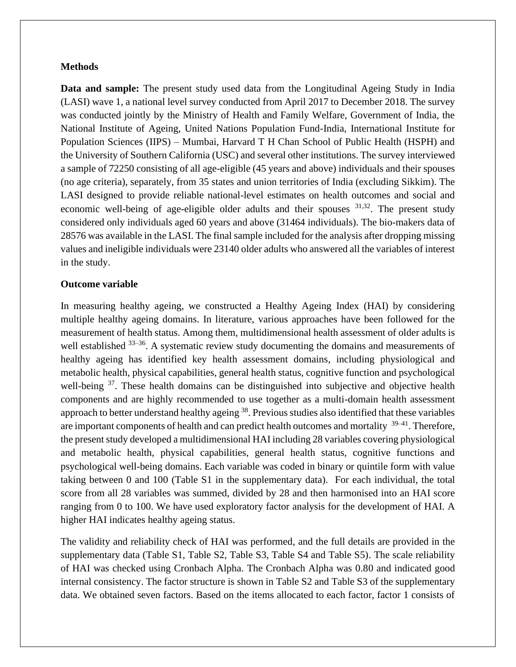#### **Methods**

**Data and sample:** The present study used data from the Longitudinal Ageing Study in India (LASI) wave 1, a national level survey conducted from April 2017 to December 2018. The survey was conducted jointly by the Ministry of Health and Family Welfare, Government of India, the National Institute of Ageing, United Nations Population Fund-India, International Institute for Population Sciences (IIPS) – Mumbai, Harvard T H Chan School of Public Health (HSPH) and the University of Southern California (USC) and several other institutions. The survey interviewed a sample of 72250 consisting of all age-eligible (45 years and above) individuals and their spouses (no age criteria), separately, from 35 states and union territories of India (excluding Sikkim). The LASI designed to provide reliable national-level estimates on health outcomes and social and economic well-being of age-eligible older adults and their spouses <sup>31,32</sup>. The present study considered only individuals aged 60 years and above (31464 individuals). The bio-makers data of 28576 was available in the LASI. The final sample included for the analysis after dropping missing values and ineligible individuals were 23140 older adults who answered all the variables of interest in the study.

#### **Outcome variable**

In measuring healthy ageing, we constructed a Healthy Ageing Index (HAI) by considering multiple healthy ageing domains. In literature, various approaches have been followed for the measurement of health status. Among them, multidimensional health assessment of older adults is well established <sup>33–36</sup>. A systematic review study documenting the domains and measurements of healthy ageing has identified key health assessment domains, including physiological and metabolic health, physical capabilities, general health status, cognitive function and psychological well-being <sup>37</sup>. These health domains can be distinguished into subjective and objective health components and are highly recommended to use together as a multi-domain health assessment approach to better understand healthy ageing  $^{38}$ . Previous studies also identified that these variables are important components of health and can predict health outcomes and mortality <sup>39–41</sup>. Therefore, the present study developed a multidimensional HAI including 28 variables covering physiological and metabolic health, physical capabilities, general health status, cognitive functions and psychological well-being domains. Each variable was coded in binary or quintile form with value taking between 0 and 100 (Table S1 in the supplementary data). For each individual, the total score from all 28 variables was summed, divided by 28 and then harmonised into an HAI score ranging from 0 to 100. We have used exploratory factor analysis for the development of HAI. A higher HAI indicates healthy ageing status.

The validity and reliability check of HAI was performed, and the full details are provided in the supplementary data (Table S1, Table S2, Table S3, Table S4 and Table S5). The scale reliability of HAI was checked using Cronbach Alpha. The Cronbach Alpha was 0.80 and indicated good internal consistency. The factor structure is shown in Table S2 and Table S3 of the supplementary data. We obtained seven factors. Based on the items allocated to each factor, factor 1 consists of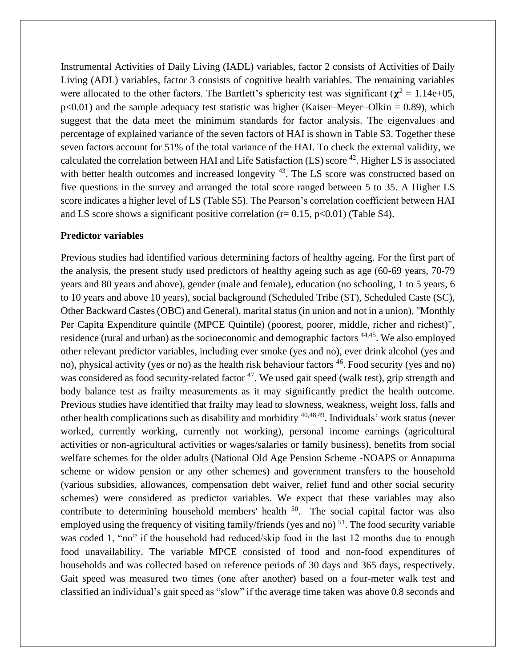Instrumental Activities of Daily Living (IADL) variables, factor 2 consists of Activities of Daily Living (ADL) variables, factor 3 consists of cognitive health variables. The remaining variables were allocated to the other factors. The Bartlett's sphericity test was significant ( $\chi^2 = 1.14e+05$ ,  $p<0.01$ ) and the sample adequacy test statistic was higher (Kaiser–Meyer–Olkin = 0.89), which suggest that the data meet the minimum standards for factor analysis. The eigenvalues and percentage of explained variance of the seven factors of HAI is shown in Table S3. Together these seven factors account for 51% of the total variance of the HAI. To check the external validity, we calculated the correlation between HAI and Life Satisfaction  $(LS)$  score  $^{42}$ . Higher LS is associated with better health outcomes and increased longevity <sup>43</sup>. The LS score was constructed based on five questions in the survey and arranged the total score ranged between 5 to 35. A Higher LS score indicates a higher level of LS (Table S5). The Pearson's correlation coefficient between HAI and LS score shows a significant positive correlation ( $r = 0.15$ ,  $p < 0.01$ ) (Table S4).

#### **Predictor variables**

Previous studies had identified various determining factors of healthy ageing. For the first part of the analysis, the present study used predictors of healthy ageing such as age (60-69 years, 70-79 years and 80 years and above), gender (male and female), education (no schooling, 1 to 5 years, 6 to 10 years and above 10 years), social background (Scheduled Tribe (ST), Scheduled Caste (SC), Other Backward Castes (OBC) and General), marital status (in union and not in a union), "Monthly Per Capita Expenditure quintile (MPCE Quintile) (poorest, poorer, middle, richer and richest)", residence (rural and urban) as the socioeconomic and demographic factors <sup>44,45</sup>. We also employed other relevant predictor variables, including ever smoke (yes and no), ever drink alcohol (yes and no), physical activity (yes or no) as the health risk behaviour factors <sup>46</sup>. Food security (yes and no) was considered as food security-related factor <sup>47</sup>. We used gait speed (walk test), grip strength and body balance test as frailty measurements as it may significantly predict the health outcome. Previous studies have identified that frailty may lead to slowness, weakness, weight loss, falls and other health complications such as disability and morbidity 40,48,49. Individuals' work status (never worked, currently working, currently not working), personal income earnings (agricultural activities or non-agricultural activities or wages/salaries or family business), benefits from social welfare schemes for the older adults (National Old Age Pension Scheme -NOAPS or Annapurna scheme or widow pension or any other schemes) and government transfers to the household (various subsidies, allowances, compensation debt waiver, relief fund and other social security schemes) were considered as predictor variables. We expect that these variables may also contribute to determining household members' health  $50$ . The social capital factor was also employed using the frequency of visiting family/friends (yes and no)<sup>51</sup>. The food security variable was coded 1, "no" if the household had reduced/skip food in the last 12 months due to enough food unavailability. The variable MPCE consisted of food and non-food expenditures of households and was collected based on reference periods of 30 days and 365 days, respectively. Gait speed was measured two times (one after another) based on a four-meter walk test and classified an individual's gait speed as "slow" if the average time taken was above 0.8 seconds and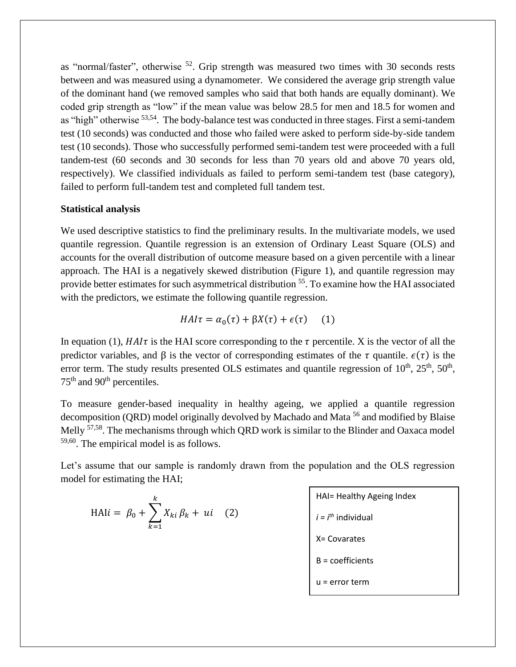as "normal/faster", otherwise  $52$ . Grip strength was measured two times with 30 seconds rests between and was measured using a dynamometer. We considered the average grip strength value of the dominant hand (we removed samples who said that both hands are equally dominant). We coded grip strength as "low" if the mean value was below 28.5 for men and 18.5 for women and as "high" otherwise <sup>53,54</sup>. The body-balance test was conducted in three stages. First a semi-tandem test (10 seconds) was conducted and those who failed were asked to perform side-by-side tandem test (10 seconds). Those who successfully performed semi-tandem test were proceeded with a full tandem-test (60 seconds and 30 seconds for less than 70 years old and above 70 years old, respectively). We classified individuals as failed to perform semi-tandem test (base category), failed to perform full-tandem test and completed full tandem test.

#### **Statistical analysis**

We used descriptive statistics to find the preliminary results. In the multivariate models, we used quantile regression. Quantile regression is an extension of Ordinary Least Square (OLS) and accounts for the overall distribution of outcome measure based on a given percentile with a linear approach. The HAI is a negatively skewed distribution (Figure 1), and quantile regression may provide better estimates for such asymmetrical distribution <sup>55</sup>. To examine how the HAI associated with the predictors, we estimate the following quantile regression.

$$
HAI\tau = \alpha_0(\tau) + \beta X(\tau) + \epsilon(\tau) \tag{1}
$$

In equation (1),  $H A I \tau$  is the HAI score corresponding to the  $\tau$  percentile. X is the vector of all the predictor variables, and  $\beta$  is the vector of corresponding estimates of the  $\tau$  quantile.  $\epsilon(\tau)$  is the error term. The study results presented OLS estimates and quantile regression of  $10^{th}$ ,  $25^{th}$ ,  $50^{th}$ , 75<sup>th</sup> and 90<sup>th</sup> percentiles.

To measure gender-based inequality in healthy ageing, we applied a quantile regression decomposition (QRD) model originally devolved by Machado and Mata <sup>56</sup> and modified by Blaise Melly <sup>57,58</sup>. The mechanisms through which QRD work is similar to the Blinder and Oaxaca model 59,60 . The empirical model is as follows.

Let's assume that our sample is randomly drawn from the population and the OLS regression model for estimating the HAI;

$$
\text{HAI} = \beta_0 + \sum_{k=1}^{k} X_{ki} \beta_k + ui \quad (2)
$$

HAI= Healthy Agency Index

\n
$$
i = i^{th}
$$
 individual

\nX= Covarates

\nB = coefficients

\nu = error term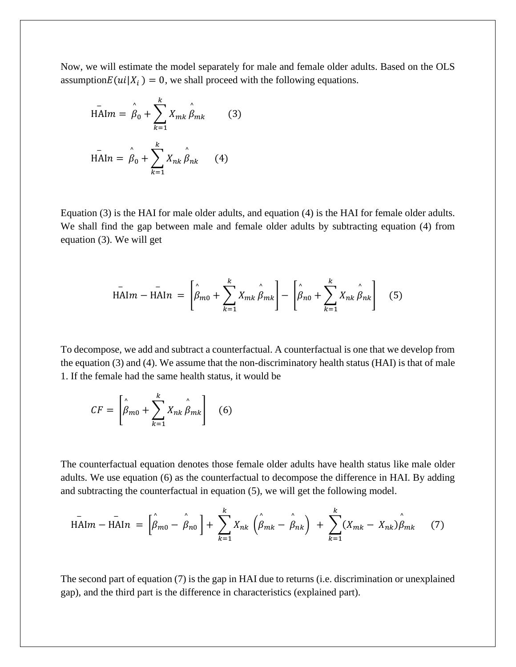Now, we will estimate the model separately for male and female older adults. Based on the OLS assumption $E(u_i|X_i) = 0$ , we shall proceed with the following equations.

$$
\overline{H\mathbf{A}} \mathbf{I} m = \hat{\beta}_0 + \sum_{k=1}^k X_{mk} \hat{\beta}_{mk} \qquad (3)
$$
  

$$
\overline{H\mathbf{A}} \mathbf{I} n = \hat{\beta}_0 + \sum_{k=1}^k X_{nk} \hat{\beta}_{nk} \qquad (4)
$$

Equation (3) is the HAI for male older adults, and equation (4) is the HAI for female older adults. We shall find the gap between male and female older adults by subtracting equation (4) from equation (3). We will get

$$
\bar{HAI}m - \bar{HAI}n = \left[\hat{\beta}_{m0} + \sum_{k=1}^{k} X_{mk} \hat{\beta}_{mk}\right] - \left[\hat{\beta}_{n0} + \sum_{k=1}^{k} X_{nk} \hat{\beta}_{nk}\right]
$$
(5)

To decompose, we add and subtract a counterfactual. A counterfactual is one that we develop from the equation (3) and (4). We assume that the non-discriminatory health status (HAI) is that of male 1. If the female had the same health status, it would be

$$
CF = \left[\hat{\beta}_{m0} + \sum_{k=1}^{k} X_{nk} \hat{\beta}_{mk}\right]
$$
 (6)

The counterfactual equation denotes those female older adults have health status like male older adults. We use equation (6) as the counterfactual to decompose the difference in HAI. By adding and subtracting the counterfactual in equation (5), we will get the following model.

$$
\overline{\text{HAl}}m - \overline{\text{HAl}}n = \left[\hat{\beta}_{m0} - \hat{\beta}_{n0}\right] + \sum_{k=1}^{k} X_{nk} \left(\hat{\beta}_{mk} - \hat{\beta}_{nk}\right) + \sum_{k=1}^{k} (X_{mk} - X_{nk})\hat{\beta}_{mk} \tag{7}
$$

The second part of equation (7) is the gap in HAI due to returns (i.e. discrimination or unexplained gap), and the third part is the difference in characteristics (explained part).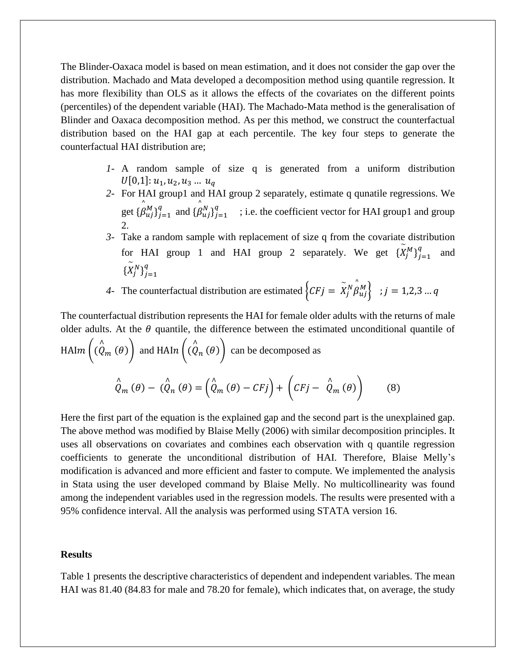The Blinder-Oaxaca model is based on mean estimation, and it does not consider the gap over the distribution. Machado and Mata developed a decomposition method using quantile regression. It has more flexibility than OLS as it allows the effects of the covariates on the different points (percentiles) of the dependent variable (HAI). The Machado-Mata method is the generalisation of Blinder and Oaxaca decomposition method. As per this method, we construct the counterfactual distribution based on the HAI gap at each percentile. The key four steps to generate the counterfactual HAI distribution are;

- *1-* A random sample of size q is generated from a uniform distribution  $U[0,1]: u_1, u_2, u_3 ... u_q$
- *2-* For HAI group1 and HAI group 2 separately, estimate q qunatile regressions. We get  $\{\beta$  $\lambda$  $\begin{array}{c} M \\ uj \end{array}$   $\begin{array}{c} q \\ j=1 \end{array}$  $a_{i=1}^q$  and { $\beta$  $\lambda$  $\begin{array}{c} N \\ uj \end{array}$   $\begin{array}{c} q \\ j=1 \end{array}$  $\begin{bmatrix} q \\ i=1 \end{bmatrix}$  ; i.e. the coefficient vector for HAI group1 and group 2.
- *3-* Take a random sample with replacement of size q from the covariate distribution for HAI group 1 and HAI group 2 separately. We get  $\{X\}$  $\binom{M}{j}$  $\binom{q}{j=1}$  $\boldsymbol{q}$ and  $\{X$  $\sim$  $\binom{N}{j}$  $\binom{q}{j=1}$  $\overline{q}$

4- The counterfactual distribution are estimated  $\begin{cases} CFj = X \end{cases}$  $\int\limits_{j}^{N}\int\limits_{\beta}% ^{N}\left( \int\limits_{-\infty}^{N}\left( 1+\frac{1}{2}\right) ^{2}dx\right) dx$  $\{M_{uj}\}\; ; j = 1,2,3 \,...\,q$ 

The counterfactual distribution represents the HAI for female older adults with the returns of male older adults. At the  $\theta$  quantile, the difference between the estimated unconditional quantile of HAI $m$   $|$   $(Q$  $\overset{\wedge}{Q}_m(\theta)\bigg)$  and HAI $n\Big(\overset{\wedge}{(Q)}\big)$  $_{n}(\theta)$  can be decomposed as Q  $\stackrel{\wedge }{Q}_{m}(\theta )-\stackrel{\wedge }{(\stackrel{\wedge }{Q}}$  $P_n(\theta) = \left(\stackrel{\wedge}{Q}_m(\theta) - CFj\right) + \left(CFj - \stackrel{\wedge}{Q}_m(\theta)\right)$  (8)

Here the first part of the equation is the explained gap and the second part is the unexplained gap. The above method was modified by Blaise Melly (2006) with similar decomposition principles. It uses all observations on covariates and combines each observation with q quantile regression coefficients to generate the unconditional distribution of HAI. Therefore, Blaise Melly's modification is advanced and more efficient and faster to compute. We implemented the analysis in Stata using the user developed command by Blaise Melly. No multicollinearity was found among the independent variables used in the regression models. The results were presented with a 95% confidence interval. All the analysis was performed using STATA version 16.

#### **Results**

Table 1 presents the descriptive characteristics of dependent and independent variables. The mean HAI was 81.40 (84.83 for male and 78.20 for female), which indicates that, on average, the study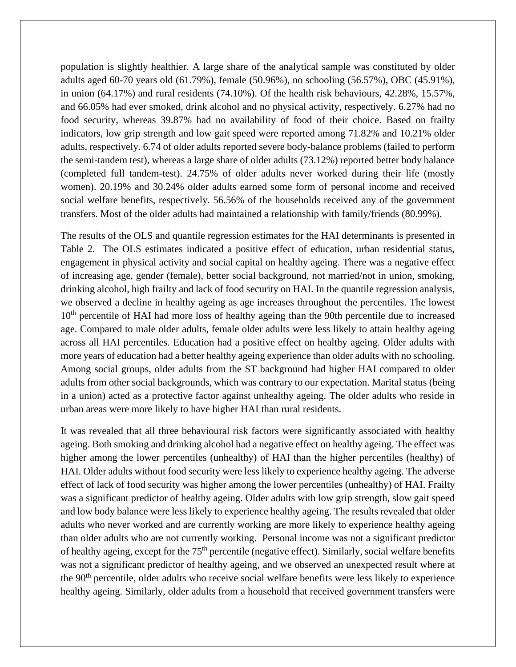population is slightly healthier. A large share of the analytical sample was constituted by older adults aged 60-70 years old (61.79%), female (50.96%), no schooling (56.57%), OBC (45.91%), in union (64.17%) and rural residents (74.10%). Of the health risk behaviours, 42.28%, 15.57%, and 66.05% had ever smoked, drink alcohol and no physical activity, respectively. 6.27% had no food security, whereas 39.87% had no availability of food of their choice. Based on frailty indicators, low grip strength and low gait speed were reported among 71.82% and 10.21% older adults, respectively. 6.74 of older adults reported severe body-balance problems (failed to perform the semi-tandem test), whereas a large share of older adults (73.12%) reported better body balance (completed full tandem-test). 24.75% of older adults never worked during their life (mostly women). 20.19% and 30.24% older adults earned some form of personal income and received social welfare benefits, respectively. 56.56% of the households received any of the government transfers. Most of the older adults had maintained a relationship with family/friends (80.99%).

The results of the OLS and quantile regression estimates for the HAI determinants is presented in Table 2. The OLS estimates indicated a positive effect of education, urban residential status, engagement in physical activity and social capital on healthy ageing. There was a negative effect of increasing age, gender (female), better social background, not married/not in union, smoking, drinking alcohol, high frailty and lack of food security on HAI. In the quantile regression analysis, we observed a decline in healthy ageing as age increases throughout the percentiles. The lowest 10<sup>th</sup> percentile of HAI had more loss of healthy ageing than the 90th percentile due to increased age. Compared to male older adults, female older adults were less likely to attain healthy ageing across all HAI percentiles. Education had a positive effect on healthy ageing. Older adults with more years of education had a better healthy ageing experience than older adults with no schooling. Among social groups, older adults from the ST background had higher HAI compared to older adults from other social backgrounds, which was contrary to our expectation. Marital status (being in a union) acted as a protective factor against unhealthy ageing. The older adults who reside in urban areas were more likely to have higher HAI than rural residents.

It was revealed that all three behavioural risk factors were significantly associated with healthy ageing. Both smoking and drinking alcohol had a negative effect on healthy ageing. The effect was higher among the lower percentiles (unhealthy) of HAI than the higher percentiles (healthy) of HAI. Older adults without food security were less likely to experience healthy ageing. The adverse effect of lack of food security was higher among the lower percentiles (unhealthy) of HAI. Frailty was a significant predictor of healthy ageing. Older adults with low grip strength, slow gait speed and low body balance were less likely to experience healthy ageing. The results revealed that older adults who never worked and are currently working are more likely to experience healthy ageing than older adults who are not currently working. Personal income was not a significant predictor of healthy ageing, except for the 75<sup>th</sup> percentile (negative effect). Similarly, social welfare benefits was not a significant predictor of healthy ageing, and we observed an unexpected result where at the 90th percentile, older adults who receive social welfare benefits were less likely to experience healthy ageing. Similarly, older adults from a household that received government transfers were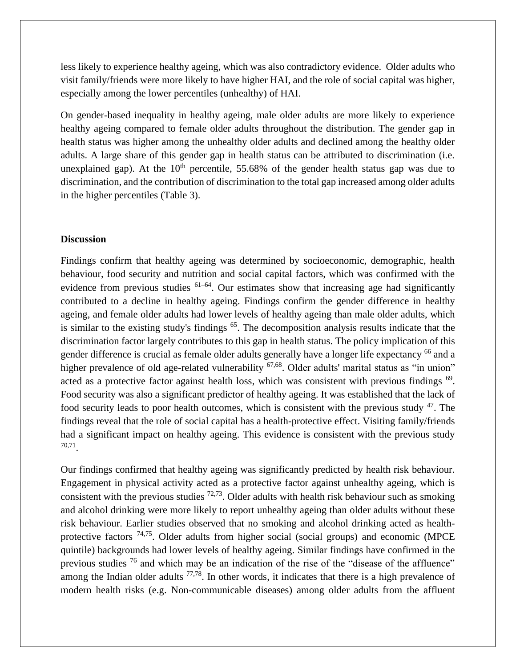less likely to experience healthy ageing, which was also contradictory evidence. Older adults who visit family/friends were more likely to have higher HAI, and the role of social capital was higher, especially among the lower percentiles (unhealthy) of HAI.

On gender-based inequality in healthy ageing, male older adults are more likely to experience healthy ageing compared to female older adults throughout the distribution. The gender gap in health status was higher among the unhealthy older adults and declined among the healthy older adults. A large share of this gender gap in health status can be attributed to discrimination (i.e. unexplained gap). At the  $10<sup>th</sup>$  percentile, 55.68% of the gender health status gap was due to discrimination, and the contribution of discrimination to the total gap increased among older adults in the higher percentiles (Table 3).

#### **Discussion**

Findings confirm that healthy ageing was determined by socioeconomic, demographic, health behaviour, food security and nutrition and social capital factors, which was confirmed with the evidence from previous studies  $61-64$ . Our estimates show that increasing age had significantly contributed to a decline in healthy ageing. Findings confirm the gender difference in healthy ageing, and female older adults had lower levels of healthy ageing than male older adults, which is similar to the existing study's findings <sup>65</sup>. The decomposition analysis results indicate that the discrimination factor largely contributes to this gap in health status. The policy implication of this gender difference is crucial as female older adults generally have a longer life expectancy <sup>66</sup> and a higher prevalence of old age-related vulnerability <sup>67,68</sup>. Older adults' marital status as "in union" acted as a protective factor against health loss, which was consistent with previous findings <sup>69</sup>. Food security was also a significant predictor of healthy ageing. It was established that the lack of food security leads to poor health outcomes, which is consistent with the previous study  $47$ . The findings reveal that the role of social capital has a health-protective effect. Visiting family/friends had a significant impact on healthy ageing. This evidence is consistent with the previous study 70,71 .

Our findings confirmed that healthy ageing was significantly predicted by health risk behaviour. Engagement in physical activity acted as a protective factor against unhealthy ageing, which is consistent with the previous studies  $72,73$ . Older adults with health risk behaviour such as smoking and alcohol drinking were more likely to report unhealthy ageing than older adults without these risk behaviour. Earlier studies observed that no smoking and alcohol drinking acted as healthprotective factors <sup>74,75</sup>. Older adults from higher social (social groups) and economic (MPCE quintile) backgrounds had lower levels of healthy ageing. Similar findings have confirmed in the previous studies <sup>76</sup> and which may be an indication of the rise of the "disease of the affluence" among the Indian older adults  $77,78$ . In other words, it indicates that there is a high prevalence of modern health risks (e.g. Non-communicable diseases) among older adults from the affluent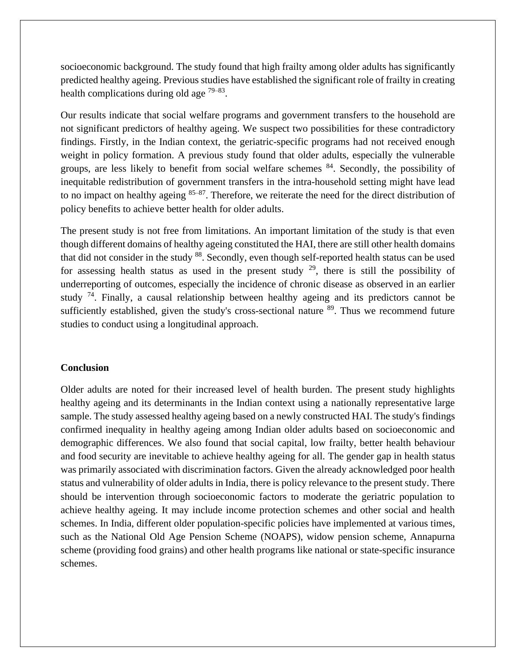socioeconomic background. The study found that high frailty among older adults has significantly predicted healthy ageing. Previous studies have established the significant role of frailty in creating health complications during old age  $79-83$ .

Our results indicate that social welfare programs and government transfers to the household are not significant predictors of healthy ageing. We suspect two possibilities for these contradictory findings. Firstly, in the Indian context, the geriatric-specific programs had not received enough weight in policy formation. A previous study found that older adults, especially the vulnerable groups, are less likely to benefit from social welfare schemes <sup>84</sup>. Secondly, the possibility of inequitable redistribution of government transfers in the intra-household setting might have lead to no impact on healthy ageing  $85-87$ . Therefore, we reiterate the need for the direct distribution of policy benefits to achieve better health for older adults.

The present study is not free from limitations. An important limitation of the study is that even though different domains of healthy ageing constituted the HAI, there are still other health domains that did not consider in the study <sup>88</sup>. Secondly, even though self-reported health status can be used for assessing health status as used in the present study  $29$ , there is still the possibility of underreporting of outcomes, especially the incidence of chronic disease as observed in an earlier study  $74$ . Finally, a causal relationship between healthy ageing and its predictors cannot be sufficiently established, given the study's cross-sectional nature  $89$ . Thus we recommend future studies to conduct using a longitudinal approach.

#### **Conclusion**

Older adults are noted for their increased level of health burden. The present study highlights healthy ageing and its determinants in the Indian context using a nationally representative large sample. The study assessed healthy ageing based on a newly constructed HAI. The study's findings confirmed inequality in healthy ageing among Indian older adults based on socioeconomic and demographic differences. We also found that social capital, low frailty, better health behaviour and food security are inevitable to achieve healthy ageing for all. The gender gap in health status was primarily associated with discrimination factors. Given the already acknowledged poor health status and vulnerability of older adults in India, there is policy relevance to the present study. There should be intervention through socioeconomic factors to moderate the geriatric population to achieve healthy ageing. It may include income protection schemes and other social and health schemes. In India, different older population-specific policies have implemented at various times, such as the National Old Age Pension Scheme (NOAPS), widow pension scheme, Annapurna scheme (providing food grains) and other health programs like national or state-specific insurance schemes.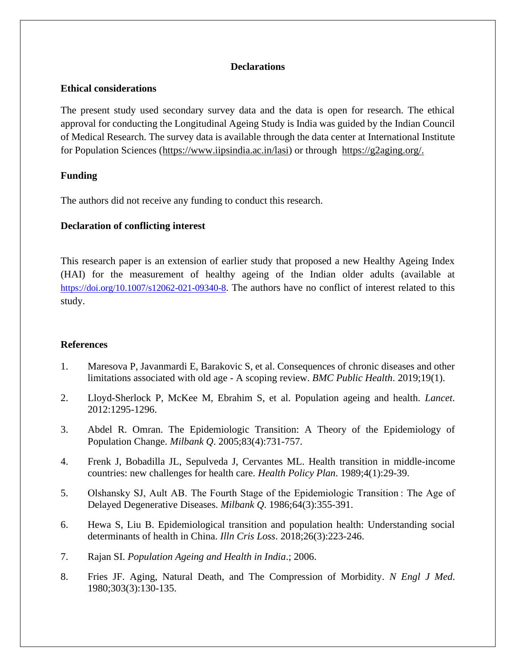#### **Declarations**

#### **Ethical considerations**

The present study used secondary survey data and the data is open for research. The ethical approval for conducting the Longitudinal Ageing Study is India was guided by the Indian Council of Medical Research. The survey data is available through the data center at International Institute for Population Sciences [\(https://www.iipsindia.ac.in/lasi\)](https://www.iipsindia.ac.in/lasi) or through [https://g2aging.org/.](https://g2aging.org/)

## **Funding**

The authors did not receive any funding to conduct this research.

## **Declaration of conflicting interest**

This research paper is an extension of earlier study that proposed a new Healthy Ageing Index (HAI) for the measurement of healthy ageing of the Indian older adults (available at <https://doi.org/10.1007/s12062-021-09340-8>. The authors have no conflict of interest related to this study.

## **References**

- 1. Maresova P, Javanmardi E, Barakovic S, et al. Consequences of chronic diseases and other limitations associated with old age - A scoping review. *BMC Public Health*. 2019;19(1).
- 2. Lloyd-Sherlock P, McKee M, Ebrahim S, et al. Population ageing and health. *Lancet*. 2012:1295-1296.
- 3. Abdel R. Omran. The Epidemiologic Transition: A Theory of the Epidemiology of Population Change. *Milbank Q*. 2005;83(4):731-757.
- 4. Frenk J, Bobadilla JL, Sepulveda J, Cervantes ML. Health transition in middle-income countries: new challenges for health care. *Health Policy Plan*. 1989;4(1):29-39.
- 5. Olshansky SJ, Ault AB. The Fourth Stage of the Epidemiologic Transition : The Age of Delayed Degenerative Diseases. *Milbank Q*. 1986;64(3):355-391.
- 6. Hewa S, Liu B. Epidemiological transition and population health: Understanding social determinants of health in China. *Illn Cris Loss*. 2018;26(3):223-246.
- 7. Rajan SI. *Population Ageing and Health in India*.; 2006.
- 8. Fries JF. Aging, Natural Death, and The Compression of Morbidity. *N Engl J Med*. 1980;303(3):130-135.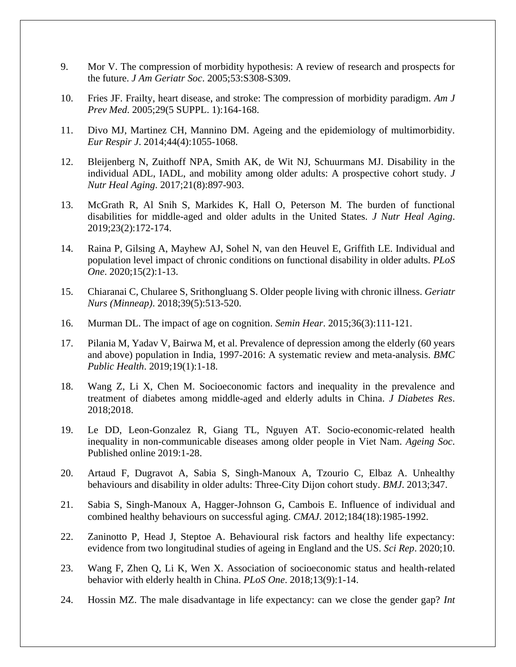- 9. Mor V. The compression of morbidity hypothesis: A review of research and prospects for the future. *J Am Geriatr Soc*. 2005;53:S308-S309.
- 10. Fries JF. Frailty, heart disease, and stroke: The compression of morbidity paradigm. *Am J Prev Med*. 2005;29(5 SUPPL. 1):164-168.
- 11. Divo MJ, Martinez CH, Mannino DM. Ageing and the epidemiology of multimorbidity. *Eur Respir J*. 2014;44(4):1055-1068.
- 12. Bleijenberg N, Zuithoff NPA, Smith AK, de Wit NJ, Schuurmans MJ. Disability in the individual ADL, IADL, and mobility among older adults: A prospective cohort study. *J Nutr Heal Aging*. 2017;21(8):897-903.
- 13. McGrath R, Al Snih S, Markides K, Hall O, Peterson M. The burden of functional disabilities for middle-aged and older adults in the United States. *J Nutr Heal Aging*. 2019;23(2):172-174.
- 14. Raina P, Gilsing A, Mayhew AJ, Sohel N, van den Heuvel E, Griffith LE. Individual and population level impact of chronic conditions on functional disability in older adults. *PLoS One*. 2020;15(2):1-13.
- 15. Chiaranai C, Chularee S, Srithongluang S. Older people living with chronic illness. *Geriatr Nurs (Minneap)*. 2018;39(5):513-520.
- 16. Murman DL. The impact of age on cognition. *Semin Hear*. 2015;36(3):111-121.
- 17. Pilania M, Yadav V, Bairwa M, et al. Prevalence of depression among the elderly (60 years and above) population in India, 1997-2016: A systematic review and meta-analysis. *BMC Public Health*. 2019;19(1):1-18.
- 18. Wang Z, Li X, Chen M. Socioeconomic factors and inequality in the prevalence and treatment of diabetes among middle-aged and elderly adults in China. *J Diabetes Res*. 2018;2018.
- 19. Le DD, Leon-Gonzalez R, Giang TL, Nguyen AT. Socio-economic-related health inequality in non-communicable diseases among older people in Viet Nam. *Ageing Soc*. Published online 2019:1-28.
- 20. Artaud F, Dugravot A, Sabia S, Singh-Manoux A, Tzourio C, Elbaz A. Unhealthy behaviours and disability in older adults: Three-City Dijon cohort study. *BMJ*. 2013;347.
- 21. Sabia S, Singh-Manoux A, Hagger-Johnson G, Cambois E. Influence of individual and combined healthy behaviours on successful aging. *CMAJ*. 2012;184(18):1985-1992.
- 22. Zaninotto P, Head J, Steptoe A. Behavioural risk factors and healthy life expectancy: evidence from two longitudinal studies of ageing in England and the US. *Sci Rep*. 2020;10.
- 23. Wang F, Zhen Q, Li K, Wen X. Association of socioeconomic status and health-related behavior with elderly health in China. *PLoS One*. 2018;13(9):1-14.
- 24. Hossin MZ. The male disadvantage in life expectancy: can we close the gender gap? *Int*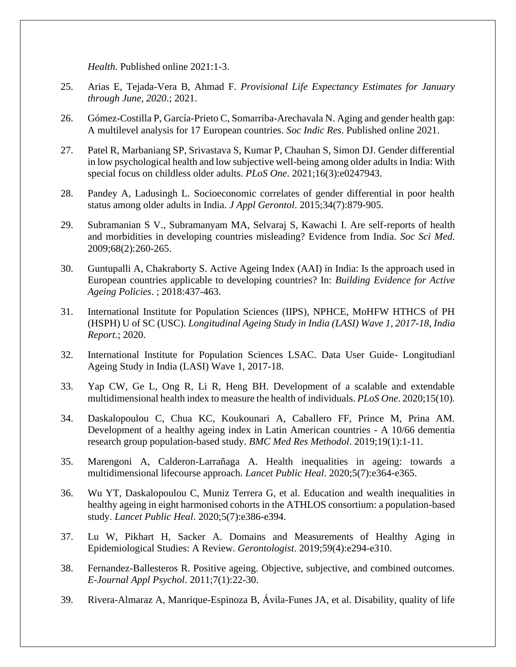*Health*. Published online 2021:1-3.

- 25. Arias E, Tejada-Vera B, Ahmad F. *Provisional Life Expectancy Estimates for January through June, 2020*.; 2021.
- 26. Gómez-Costilla P, García-Prieto C, Somarriba-Arechavala N. Aging and gender health gap: A multilevel analysis for 17 European countries. *Soc Indic Res*. Published online 2021.
- 27. Patel R, Marbaniang SP, Srivastava S, Kumar P, Chauhan S, Simon DJ. Gender differential in low psychological health and low subjective well-being among older adults in India: With special focus on childless older adults. *PLoS One*. 2021;16(3):e0247943.
- 28. Pandey A, Ladusingh L. Socioeconomic correlates of gender differential in poor health status among older adults in India. *J Appl Gerontol*. 2015;34(7):879-905.
- 29. Subramanian S V., Subramanyam MA, Selvaraj S, Kawachi I. Are self-reports of health and morbidities in developing countries misleading? Evidence from India. *Soc Sci Med*. 2009;68(2):260-265.
- 30. Guntupalli A, Chakraborty S. Active Ageing Index (AAI) in India: Is the approach used in European countries applicable to developing countries? In: *Building Evidence for Active Ageing Policies*. ; 2018:437-463.
- 31. International Institute for Population Sciences (IIPS), NPHCE, MoHFW HTHCS of PH (HSPH) U of SC (USC). *Longitudinal Ageing Study in India (LASI) Wave 1, 2017-18, India Report*.; 2020.
- 32. International Institute for Population Sciences LSAC. Data User Guide- Longitudianl Ageing Study in India (LASI) Wave 1, 2017-18.
- 33. Yap CW, Ge L, Ong R, Li R, Heng BH. Development of a scalable and extendable multidimensional health index to measure the health of individuals. *PLoS One*. 2020;15(10).
- 34. Daskalopoulou C, Chua KC, Koukounari A, Caballero FF, Prince M, Prina AM. Development of a healthy ageing index in Latin American countries - A 10/66 dementia research group population-based study. *BMC Med Res Methodol*. 2019;19(1):1-11.
- 35. Marengoni A, Calderon-Larrañaga A. Health inequalities in ageing: towards a multidimensional lifecourse approach. *Lancet Public Heal*. 2020;5(7):e364-e365.
- 36. Wu YT, Daskalopoulou C, Muniz Terrera G, et al. Education and wealth inequalities in healthy ageing in eight harmonised cohorts in the ATHLOS consortium: a population-based study. *Lancet Public Heal*. 2020;5(7):e386-e394.
- 37. Lu W, Pikhart H, Sacker A. Domains and Measurements of Healthy Aging in Epidemiological Studies: A Review. *Gerontologist*. 2019;59(4):e294-e310.
- 38. Fernandez-Ballesteros R. Positive ageing. Objective, subjective, and combined outcomes. *E-Journal Appl Psychol*. 2011;7(1):22-30.
- 39. Rivera-Almaraz A, Manrique-Espinoza B, Ávila-Funes JA, et al. Disability, quality of life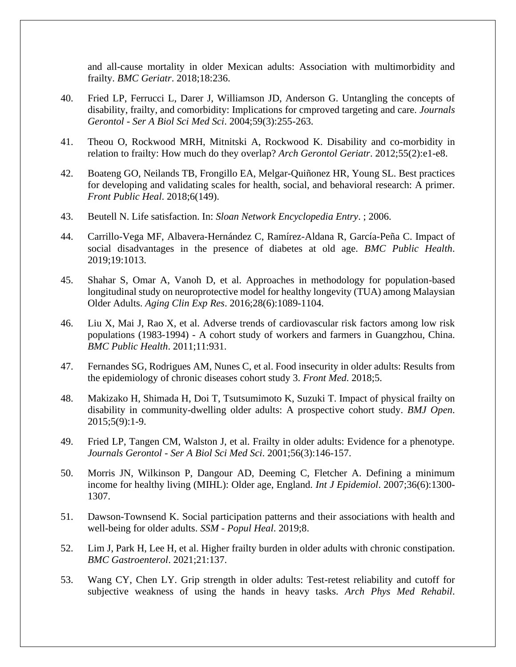and all-cause mortality in older Mexican adults: Association with multimorbidity and frailty. *BMC Geriatr*. 2018;18:236.

- 40. Fried LP, Ferrucci L, Darer J, Williamson JD, Anderson G. Untangling the concepts of disability, frailty, and comorbidity: Implications for cmproved targeting and care. *Journals Gerontol - Ser A Biol Sci Med Sci*. 2004;59(3):255-263.
- 41. Theou O, Rockwood MRH, Mitnitski A, Rockwood K. Disability and co-morbidity in relation to frailty: How much do they overlap? *Arch Gerontol Geriatr*. 2012;55(2):e1-e8.
- 42. Boateng GO, Neilands TB, Frongillo EA, Melgar-Quiñonez HR, Young SL. Best practices for developing and validating scales for health, social, and behavioral research: A primer. *Front Public Heal*. 2018;6(149).
- 43. Beutell N. Life satisfaction. In: *Sloan Network Encyclopedia Entry*. ; 2006.
- 44. Carrillo-Vega MF, Albavera-Hernández C, Ramírez-Aldana R, García-Peña C. Impact of social disadvantages in the presence of diabetes at old age. *BMC Public Health*. 2019;19:1013.
- 45. Shahar S, Omar A, Vanoh D, et al. Approaches in methodology for population-based longitudinal study on neuroprotective model for healthy longevity (TUA) among Malaysian Older Adults. *Aging Clin Exp Res*. 2016;28(6):1089-1104.
- 46. Liu X, Mai J, Rao X, et al. Adverse trends of cardiovascular risk factors among low risk populations (1983-1994) - A cohort study of workers and farmers in Guangzhou, China. *BMC Public Health*. 2011;11:931.
- 47. Fernandes SG, Rodrigues AM, Nunes C, et al. Food insecurity in older adults: Results from the epidemiology of chronic diseases cohort study 3. *Front Med*. 2018;5.
- 48. Makizako H, Shimada H, Doi T, Tsutsumimoto K, Suzuki T. Impact of physical frailty on disability in community-dwelling older adults: A prospective cohort study. *BMJ Open*. 2015;5(9):1-9.
- 49. Fried LP, Tangen CM, Walston J, et al. Frailty in older adults: Evidence for a phenotype. *Journals Gerontol - Ser A Biol Sci Med Sci*. 2001;56(3):146-157.
- 50. Morris JN, Wilkinson P, Dangour AD, Deeming C, Fletcher A. Defining a minimum income for healthy living (MIHL): Older age, England. *Int J Epidemiol*. 2007;36(6):1300- 1307.
- 51. Dawson-Townsend K. Social participation patterns and their associations with health and well-being for older adults. *SSM - Popul Heal*. 2019;8.
- 52. Lim J, Park H, Lee H, et al. Higher frailty burden in older adults with chronic constipation. *BMC Gastroenterol*. 2021;21:137.
- 53. Wang CY, Chen LY. Grip strength in older adults: Test-retest reliability and cutoff for subjective weakness of using the hands in heavy tasks. *Arch Phys Med Rehabil*.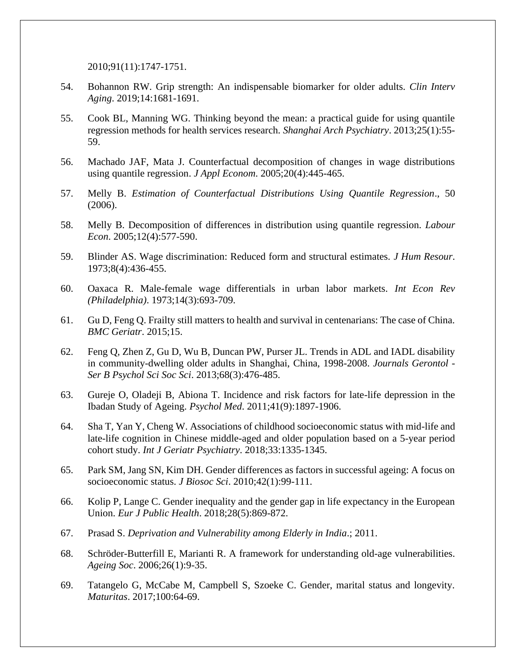2010;91(11):1747-1751.

- 54. Bohannon RW. Grip strength: An indispensable biomarker for older adults. *Clin Interv Aging*. 2019;14:1681-1691.
- 55. Cook BL, Manning WG. Thinking beyond the mean: a practical guide for using quantile regression methods for health services research. *Shanghai Arch Psychiatry*. 2013;25(1):55- 59.
- 56. Machado JAF, Mata J. Counterfactual decomposition of changes in wage distributions using quantile regression. *J Appl Econom*. 2005;20(4):445-465.
- 57. Melly B. *Estimation of Counterfactual Distributions Using Quantile Regression*., 50 (2006).
- 58. Melly B. Decomposition of differences in distribution using quantile regression. *Labour Econ*. 2005;12(4):577-590.
- 59. Blinder AS. Wage discrimination: Reduced form and structural estimates. *J Hum Resour*. 1973;8(4):436-455.
- 60. Oaxaca R. Male-female wage differentials in urban labor markets. *Int Econ Rev (Philadelphia)*. 1973;14(3):693-709.
- 61. Gu D, Feng Q. Frailty still matters to health and survival in centenarians: The case of China. *BMC Geriatr*. 2015;15.
- 62. Feng Q, Zhen Z, Gu D, Wu B, Duncan PW, Purser JL. Trends in ADL and IADL disability in community-dwelling older adults in Shanghai, China, 1998-2008. *Journals Gerontol - Ser B Psychol Sci Soc Sci*. 2013;68(3):476-485.
- 63. Gureje O, Oladeji B, Abiona T. Incidence and risk factors for late-life depression in the Ibadan Study of Ageing. *Psychol Med*. 2011;41(9):1897-1906.
- 64. Sha T, Yan Y, Cheng W. Associations of childhood socioeconomic status with mid-life and late-life cognition in Chinese middle-aged and older population based on a 5-year period cohort study. *Int J Geriatr Psychiatry*. 2018;33:1335-1345.
- 65. Park SM, Jang SN, Kim DH. Gender differences as factors in successful ageing: A focus on socioeconomic status. *J Biosoc Sci*. 2010;42(1):99-111.
- 66. Kolip P, Lange C. Gender inequality and the gender gap in life expectancy in the European Union. *Eur J Public Health*. 2018;28(5):869-872.
- 67. Prasad S. *Deprivation and Vulnerability among Elderly in India*.; 2011.
- 68. Schröder-Butterfill E, Marianti R. A framework for understanding old-age vulnerabilities. *Ageing Soc*. 2006;26(1):9-35.
- 69. Tatangelo G, McCabe M, Campbell S, Szoeke C. Gender, marital status and longevity. *Maturitas*. 2017;100:64-69.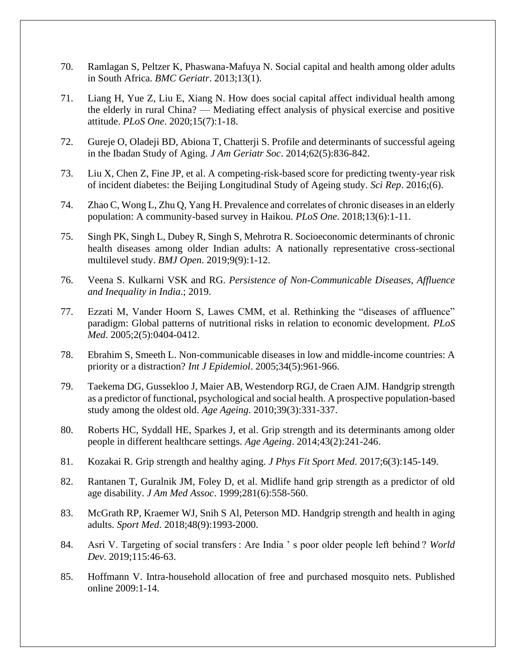- 70. Ramlagan S, Peltzer K, Phaswana-Mafuya N. Social capital and health among older adults in South Africa. *BMC Geriatr*. 2013;13(1).
- 71. Liang H, Yue Z, Liu E, Xiang N. How does social capital affect individual health among the elderly in rural China? — Mediating effect analysis of physical exercise and positive attitude. *PLoS One*. 2020;15(7):1-18.
- 72. Gureje O, Oladeji BD, Abiona T, Chatterji S. Profile and determinants of successful ageing in the Ibadan Study of Aging. *J Am Geriatr Soc*. 2014;62(5):836-842.
- 73. Liu X, Chen Z, Fine JP, et al. A competing-risk-based score for predicting twenty-year risk of incident diabetes: the Beijing Longitudinal Study of Ageing study. *Sci Rep*. 2016;(6).
- 74. Zhao C, Wong L, Zhu Q, Yang H. Prevalence and correlates of chronic diseases in an elderly population: A community-based survey in Haikou. *PLoS One*. 2018;13(6):1-11.
- 75. Singh PK, Singh L, Dubey R, Singh S, Mehrotra R. Socioeconomic determinants of chronic health diseases among older Indian adults: A nationally representative cross-sectional multilevel study. *BMJ Open*. 2019;9(9):1-12.
- 76. Veena S. Kulkarni VSK and RG. *Persistence of Non-Communicable Diseases, Affluence and Inequality in India*.; 2019.
- 77. Ezzati M, Vander Hoorn S, Lawes CMM, et al. Rethinking the "diseases of affluence" paradigm: Global patterns of nutritional risks in relation to economic development. *PLoS Med*. 2005;2(5):0404-0412.
- 78. Ebrahim S, Smeeth L. Non-communicable diseases in low and middle-income countries: A priority or a distraction? *Int J Epidemiol*. 2005;34(5):961-966.
- 79. Taekema DG, Gussekloo J, Maier AB, Westendorp RGJ, de Craen AJM. Handgrip strength as a predictor of functional, psychological and social health. A prospective population-based study among the oldest old. *Age Ageing*. 2010;39(3):331-337.
- 80. Roberts HC, Syddall HE, Sparkes J, et al. Grip strength and its determinants among older people in different healthcare settings. *Age Ageing*. 2014;43(2):241-246.
- 81. Kozakai R. Grip strength and healthy aging. *J Phys Fit Sport Med*. 2017;6(3):145-149.
- 82. Rantanen T, Guralnik JM, Foley D, et al. Midlife hand grip strength as a predictor of old age disability. *J Am Med Assoc*. 1999;281(6):558-560.
- 83. McGrath RP, Kraemer WJ, Snih S Al, Peterson MD. Handgrip strength and health in aging adults. *Sport Med*. 2018;48(9):1993-2000.
- 84. Asri V. Targeting of social transfers : Are India ' s poor older people left behind ? *World Dev*. 2019;115:46-63.
- 85. Hoffmann V. Intra-household allocation of free and purchased mosquito nets. Published online 2009:1-14.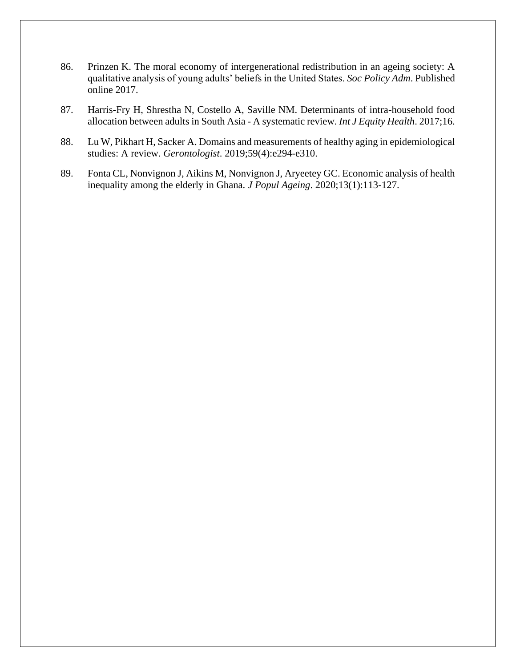- 86. Prinzen K. The moral economy of intergenerational redistribution in an ageing society: A qualitative analysis of young adults' beliefs in the United States. *Soc Policy Adm*. Published online 2017.
- 87. Harris-Fry H, Shrestha N, Costello A, Saville NM. Determinants of intra-household food allocation between adults in South Asia - A systematic review. *Int J Equity Health*. 2017;16.
- 88. Lu W, Pikhart H, Sacker A. Domains and measurements of healthy aging in epidemiological studies: A review. *Gerontologist*. 2019;59(4):e294-e310.
- 89. Fonta CL, Nonvignon J, Aikins M, Nonvignon J, Aryeetey GC. Economic analysis of health inequality among the elderly in Ghana. *J Popul Ageing*. 2020;13(1):113-127.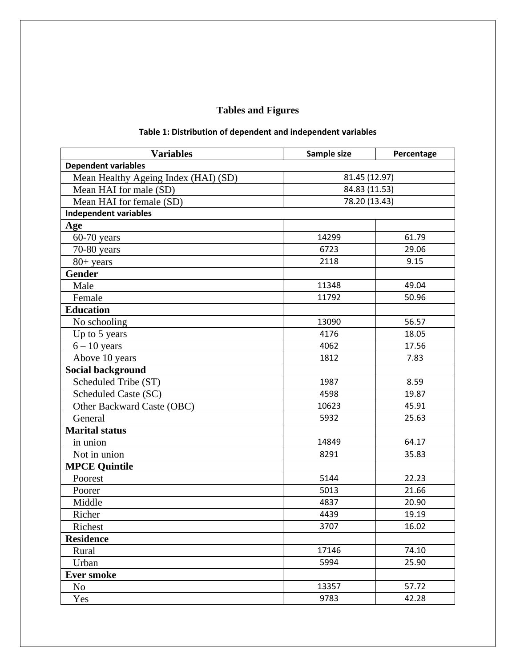# **Tables and Figures**

| <b>Variables</b>                     | Sample size   | Percentage |  |  |
|--------------------------------------|---------------|------------|--|--|
| <b>Dependent variables</b>           |               |            |  |  |
| Mean Healthy Ageing Index (HAI) (SD) | 81.45 (12.97) |            |  |  |
| Mean HAI for male (SD)               | 84.83 (11.53) |            |  |  |
| Mean HAI for female (SD)             | 78.20 (13.43) |            |  |  |
| <b>Independent variables</b>         |               |            |  |  |
| Age                                  |               |            |  |  |
| 60-70 years                          | 14299         | 61.79      |  |  |
| 70-80 years                          | 6723          | 29.06      |  |  |
| $80+$ years                          | 2118          | 9.15       |  |  |
| <b>Gender</b>                        |               |            |  |  |
| Male                                 | 11348         | 49.04      |  |  |
| Female                               | 11792         | 50.96      |  |  |
| <b>Education</b>                     |               |            |  |  |
| No schooling                         | 13090         | 56.57      |  |  |
| Up to 5 years                        | 4176          | 18.05      |  |  |
| $6 - 10$ years                       | 4062          | 17.56      |  |  |
| Above 10 years                       | 1812          | 7.83       |  |  |
| <b>Social background</b>             |               |            |  |  |
| Scheduled Tribe (ST)                 | 1987          | 8.59       |  |  |
| Scheduled Caste (SC)                 | 4598          | 19.87      |  |  |
| Other Backward Caste (OBC)           | 10623         | 45.91      |  |  |
| General                              | 5932          | 25.63      |  |  |
| <b>Marital status</b>                |               |            |  |  |
| in union                             | 14849         | 64.17      |  |  |
| Not in union                         | 8291          | 35.83      |  |  |
| <b>MPCE Quintile</b>                 |               |            |  |  |
| Poorest                              | 5144          | 22.23      |  |  |
| Poorer                               | 5013          | 21.66      |  |  |
| Middle                               | 4837          | 20.90      |  |  |
| Richer                               | 4439          | 19.19      |  |  |
| Richest                              | 3707          | 16.02      |  |  |
| <b>Residence</b>                     |               |            |  |  |
| Rural                                | 17146         | 74.10      |  |  |
| Urban                                | 5994          | 25.90      |  |  |
| <b>Ever smoke</b>                    |               |            |  |  |
| N <sub>o</sub>                       | 13357         | 57.72      |  |  |
| Yes                                  | 9783          | 42.28      |  |  |

# **Table 1: Distribution of dependent and independent variables**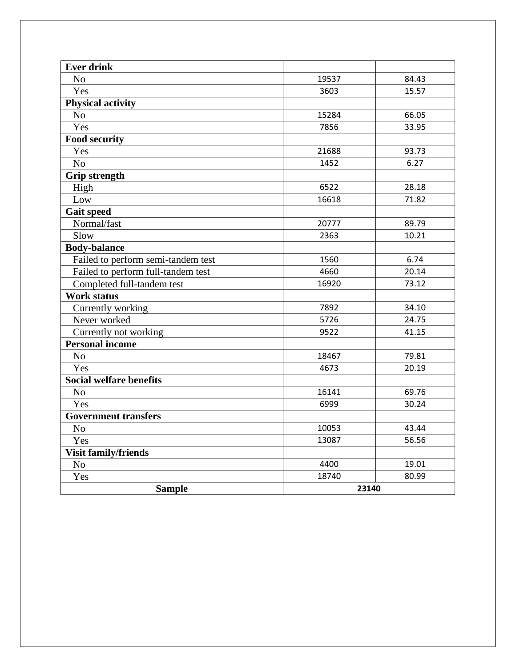| <b>Ever drink</b>                  |       |       |  |  |
|------------------------------------|-------|-------|--|--|
| N <sub>o</sub>                     | 19537 | 84.43 |  |  |
| Yes                                | 3603  | 15.57 |  |  |
| <b>Physical activity</b>           |       |       |  |  |
| N <sub>o</sub>                     | 15284 | 66.05 |  |  |
| Yes                                | 7856  | 33.95 |  |  |
| <b>Food security</b>               |       |       |  |  |
| Yes                                | 21688 | 93.73 |  |  |
| N <sub>o</sub>                     | 1452  | 6.27  |  |  |
| <b>Grip strength</b>               |       |       |  |  |
| High                               | 6522  | 28.18 |  |  |
| Low                                | 16618 | 71.82 |  |  |
| <b>Gait speed</b>                  |       |       |  |  |
| Normal/fast                        | 20777 | 89.79 |  |  |
| Slow                               | 2363  | 10.21 |  |  |
| <b>Body-balance</b>                |       |       |  |  |
| Failed to perform semi-tandem test | 1560  | 6.74  |  |  |
| Failed to perform full-tandem test | 4660  | 20.14 |  |  |
| Completed full-tandem test         | 16920 | 73.12 |  |  |
| <b>Work status</b>                 |       |       |  |  |
| Currently working                  | 7892  | 34.10 |  |  |
| Never worked                       | 5726  | 24.75 |  |  |
| Currently not working              | 9522  | 41.15 |  |  |
| <b>Personal income</b>             |       |       |  |  |
| N <sub>o</sub>                     | 18467 | 79.81 |  |  |
| Yes                                | 4673  | 20.19 |  |  |
| <b>Social welfare benefits</b>     |       |       |  |  |
| N <sub>o</sub>                     | 16141 | 69.76 |  |  |
| Yes                                | 6999  | 30.24 |  |  |
| <b>Government transfers</b>        |       |       |  |  |
| N <sub>o</sub>                     | 10053 | 43.44 |  |  |
| Yes                                | 13087 | 56.56 |  |  |
| <b>Visit family/friends</b>        |       |       |  |  |
| No                                 | 4400  | 19.01 |  |  |
| Yes                                | 18740 | 80.99 |  |  |
| <b>Sample</b>                      |       | 23140 |  |  |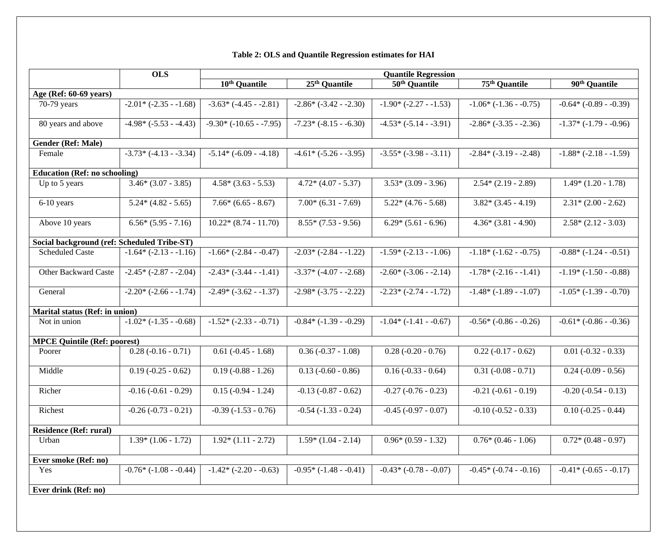# **Table 2: OLS and Quantile Regression estimates for HAI**

|                                             | <b>OLS</b>                  |                           |                           | <b>Quantile Regression</b> |                           |                             |
|---------------------------------------------|-----------------------------|---------------------------|---------------------------|----------------------------|---------------------------|-----------------------------|
|                                             |                             | 10 <sup>th</sup> Quantile | $25th$ Quantile           | 50 <sup>th</sup> Quantile  | 75 <sup>th</sup> Quantile | 90 <sup>th</sup> Quantile   |
| Age (Ref: 60-69 years)                      |                             |                           |                           |                            |                           |                             |
| 70-79 years                                 | $-2.01* (-2.35 - 1.68)$     | $-3.63*$ $(-4.45 - 2.81)$ | $-2.86*(-3.42 - 2.30)$    | $-1.90*(-2.27 - 1.53)$     | $-1.06*$ $(-1.36 - 0.75)$ | $-0.64*$ ( $-0.89 - 0.39$ ) |
| 80 years and above                          | $-4.98*(-5.53 - -4.43)$     | $-9.30*(-10.65 - -7.95)$  | $-7.23*(-8.15 - -6.30)$   | $-4.53*(-5.14 - 3.91)$     | $-2.86* (-3.35 - 2.36)$   | $-1.37* (-1.79 - 0.96)$     |
| <b>Gender (Ref: Male)</b>                   |                             |                           |                           |                            |                           |                             |
| Female                                      | $-3.73*$ $(-4.13 - 3.34)$   | $-5.14*(-6.09 - -4.18)$   | $-4.61* (-5.26 - 3.95)$   | $-3.55* (-3.98 - 3.11)$    | $-2.84*$ $(-3.19 - 2.48)$ | $-1.88*(-2.18 - 1.59)$      |
| <b>Education (Ref: no schooling)</b>        |                             |                           |                           |                            |                           |                             |
| Up to 5 years                               | $3.46*(3.07 - 3.85)$        | $4.58*(3.63 - 5.53)$      | $4.72*(4.07 - 5.37)$      | $3.53*(3.09 - 3.96)$       | $2.54*(2.19 - 2.89)$      | $1.49*(1.20 - 1.78)$        |
| $6-10$ years                                | $5.24*(4.82 - 5.65)$        | $7.66*(6.65 - 8.67)$      | $7.00*(6.31 - 7.69)$      | $5.22*(4.76-5.68)$         | $3.82*(3.45 - 4.19)$      | $2.31*(2.00 - 2.62)$        |
| Above 10 years                              | $6.56*(5.95 - 7.16)$        | $10.22*(8.74-11.70)$      | $8.55*(7.53 - 9.56)$      | $6.29*(5.61 - 6.96)$       | $4.36*(3.81 - 4.90)$      | $2.58*(2.12 - 3.03)$        |
| Social background (ref: Scheduled Tribe-ST) |                             |                           |                           |                            |                           |                             |
| <b>Scheduled Caste</b>                      | $-1.64*$ $(-2.13 - 1.16)$   | $-1.66*$ $(-2.84 - 0.47)$ | $-2.03* (-2.84 - 1.22)$   | $-1.59*(-2.13 - 1.06)$     | $-1.18*(-1.62 - 0.75)$    | $-0.88*(-1.24 - 0.51)$      |
| <b>Other Backward Caste</b>                 | $-2.45* (-2.87 - 2.04)$     | $-2.43* (-3.44 - 1.41)$   | $-3.37*$ $(-4.07 - 2.68)$ | $-2.60*$ $(-3.06 - 2.14)$  | $-1.78*(-2.16 - -1.41)$   | $-1.19*(-1.50 - 0.88)$      |
| General                                     | $-2.20* (-2.66 - 1.74)$     | $-2.49* (-3.62 - 1.37)$   | $-2.98*(-3.75 - 2.22)$    | $-2.23* (-2.74 - 1.72)$    | $-1.48*(-1.89 - 1.07)$    | $-1.05*$ $(-1.39 - 0.70)$   |
| <b>Marital status (Ref: in union)</b>       |                             |                           |                           |                            |                           |                             |
| Not in union                                | $-1.02*$ ( $-1.35-0.68$ )   | $-1.52*(-2.33 - 0.71)$    | $-0.84*$ ( $-1.39-0.29$ ) | $-1.04*$ ( $-1.41-0.67$ )  | $-0.56*$ $(-0.86 - 0.26)$ | $-0.61*$ ( $-0.86-0.36$ )   |
| <b>MPCE Quintile (Ref: poorest)</b>         |                             |                           |                           |                            |                           |                             |
| Poorer                                      | $0.28(-0.16-0.71)$          | $0.61 (-0.45 - 1.68)$     | $0.36(-0.37 - 1.08)$      | $0.28(-0.20 - 0.76)$       | $0.22(-0.17 - 0.62)$      | $0.01 (-0.32 - 0.33)$       |
| Middle                                      | $0.19(-0.25 - 0.62)$        | $0.19(-0.88 - 1.26)$      | $0.13(-0.60 - 0.86)$      | $0.16 (-0.33 - 0.64)$      | $0.31 (-0.08 - 0.71)$     | $0.24 (-0.09 - 0.56)$       |
| Richer                                      | $-0.16(-0.61 - 0.29)$       | $0.15(-0.94 - 1.24)$      | $-0.13(-0.87 - 0.62)$     | $-0.27$ $(-0.76 - 0.23)$   | $-0.21 (-0.61 - 0.19)$    | $-0.20$ $(-0.54 - 0.13)$    |
| Richest                                     | $-0.26(-0.73-0.21)$         | $-0.39(-1.53 - 0.76)$     | $-0.54$ $(-1.33 - 0.24)$  | $-0.45$ $(-0.97 - 0.07)$   | $-0.10(-0.52 - 0.33)$     | $0.10 (-0.25 - 0.44)$       |
| <b>Residence (Ref: rural)</b>               |                             |                           |                           |                            |                           |                             |
| Urban                                       | $1.39*(1.06 - 1.72)$        | $1.92*(1.11 - 2.72)$      | $1.59*(1.04 - 2.14)$      | $0.96*(0.59 - 1.32)$       | $0.76*(0.46 - 1.06)$      | $0.72*(0.48-0.97)$          |
| Ever smoke (Ref: no)                        |                             |                           |                           |                            |                           |                             |
| Yes                                         | $-0.76*$ ( $-1.08 - 0.44$ ) | $-1.42*(-2.20 - 0.63)$    | $-0.95*(-1.48 - -0.41)$   | $-0.43*(-0.78 - 0.07)$     | $-0.45*$ $(-0.74 - 0.16)$ | $-0.41*(-0.65 - 0.17)$      |
| Ever drink (Ref: no)                        |                             |                           |                           |                            |                           |                             |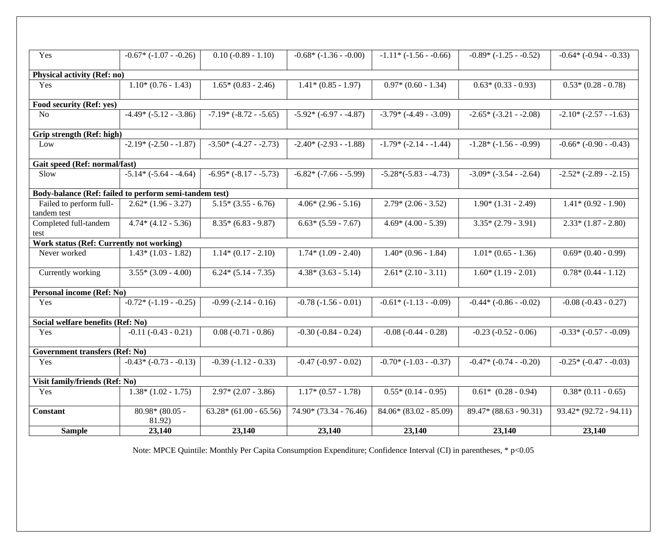| <b>Sample</b>                                          | 23,140                      | 23,140                    | 23,140                     | 23,140                    | 23,140                      | 23,140                      |
|--------------------------------------------------------|-----------------------------|---------------------------|----------------------------|---------------------------|-----------------------------|-----------------------------|
| <b>Constant</b>                                        | $80.98* (80.05 -$<br>81.92) | $63.28*(61.00 - 65.56)$   | $74.90*(73.34 - 76.46)$    | $84.06*(83.02 - 85.09)$   | $89.47*(88.63 - 90.31)$     | $93.42*(92.72 - 94.11)$     |
| Yes                                                    | $1.38*(1.02 - 1.75)$        | $2.97*(2.07 - 3.86)$      | $1.17*(0.57 - 1.78)$       | $0.55*(0.14-0.95)$        | $0.61*$ $(0.28-0.94)$       | $0.38*(0.11 - 0.65)$        |
| Visit family/friends (Ref: No)                         |                             |                           |                            |                           |                             |                             |
| Yes                                                    | $-0.43*(-0.73 - 0.13)$      | $-0.39(-1.12-0.33)$       | $-0.47$ $(-0.97 - 0.02)$   | $-0.70*$ ( $-1.03-0.37$ ) | $-0.47*$ $(-0.74 - 0.20)$   | $-0.25*(-0.47 - 0.03)$      |
| <b>Government transfers (Ref: No)</b>                  |                             |                           |                            |                           |                             |                             |
|                                                        |                             |                           |                            |                           |                             |                             |
| Social welfare benefits (Ref: No)<br>Yes               | $-0.11(-0.43 - 0.21)$       | $0.08(-0.71 - 0.86)$      | $-0.30(-0.84 - 0.24)$      | $-0.08$ $(-0.44 - 0.28)$  | $-0.23$ $(-0.52 - 0.06)$    | $-0.33*(-0.57 - 0.09)$      |
|                                                        |                             |                           |                            |                           |                             |                             |
| Yes                                                    | $-0.72*(-1.19 - -0.25)$     | $-0.99$ $(-2.14 - 0.16)$  | $-0.78(-1.56 - 0.01)$      | $-0.61*(-1.13 - 0.09)$    | $-0.44*$ ( $-0.86 - 0.02$ ) | $-0.08(-0.43-0.27)$         |
| Personal income (Ref: No)                              |                             |                           |                            |                           |                             |                             |
| Currently working                                      | $3.55*(3.09 - 4.00)$        | $6.24*(5.14 - 7.35)$      | $4.38*(3.63 - 5.14)$       | $2.61*(2.10-3.11)$        | $1.60*(1.19-2.01)$          | $0.78*(0.44 - 1.12)$        |
| Never worked                                           | $1.43*(1.03 - 1.82)$        | $1.14*(0.17 - 2.10)$      | $1.74*(1.09 - 2.40)$       | $1.40*(0.96 - 1.84)$      | $1.01*(0.65 - 1.36)$        | $0.69*(0.40-0.99)$          |
| Work status (Ref: Currently not working)               |                             |                           |                            |                           |                             |                             |
| test                                                   |                             |                           |                            |                           |                             |                             |
| tandem test<br>Completed full-tandem                   | $4.74*(4.12 - 5.36)$        | $8.35*(6.83 - 9.87)$      | $6.63*(5.59 - 7.67)$       | $4.69*(4.00 - 5.39)$      | $3.35*(2.79 - 3.91)$        | $2.33*(1.87 - 2.80)$        |
| Failed to perform full-                                | $2.62*(1.96 - 3.27)$        | $5.15*(3.55 - 6.76)$      | $4.06*(2.96 - 5.16)$       | $2.79*(2.06 - 3.52)$      | $1.90*(1.31 - 2.49)$        | $1.41*(0.92 - 1.90)$        |
| Body-balance (Ref: failed to perform semi-tandem test) |                             |                           |                            |                           |                             |                             |
| Slow                                                   | $-5.14*$ $(-5.64 - 4.64)$   | $-6.95*$ $(-8.17 - 5.73)$ | $-6.82*$ $(-7.66 - -5.99)$ | $-5.28*(-5.83 - -4.73)$   | $-3.09* (-3.54 - 2.64)$     | $-2.52* (-2.89 - 2.15)$     |
| Gait speed (Ref: normal/fast)                          |                             |                           |                            |                           |                             |                             |
|                                                        |                             |                           |                            |                           |                             |                             |
| Grip strength (Ref: high)<br>Low                       | $-2.19* (-2.50 - 1.87)$     | $-3.50*$ $(-4.27 - 2.73)$ | $-2.40* (-2.93 - 1.88)$    | $-1.79* (-2.14 - 1.44)$   | $-1.28*(-1.56 - 0.99)$      | $-0.66*$ ( $-0.90 - 0.43$ ) |
|                                                        |                             |                           |                            |                           |                             |                             |
| N <sub>o</sub>                                         | $-4.49* (-5.12 - 3.86)$     | $-7.19*(-8.72 - -5.65)$   | $-5.92* (-6.97 - -4.87)$   | $-3.79*(-4.49 - 3.09)$    | $-2.65* (-3.21 - 2.08)$     | $-2.10* (-2.57 - 1.63)$     |
| Food security (Ref: yes)                               |                             |                           |                            |                           |                             |                             |
| Yes                                                    | $1.10*(0.76 - 1.43)$        | $1.65*(0.83 - 2.46)$      | $1.41*(0.85 - 1.97)$       | $0.97*(0.60 - 1.34)$      | $0.63*(0.33-0.93)$          | $0.53*(0.28 - 0.78)$        |
| <b>Physical activity (Ref: no)</b>                     |                             |                           |                            |                           |                             |                             |
| Yes                                                    | $-0.67*$ ( $-1.07-0.26$ )   | $0.10 (-0.89 - 1.10)$     | $-0.68*(-1.36 - 0.00)$     | $-1.11*$ $(-1.56 - 0.66)$ | $-0.89*(-1.25 - 0.52)$      | $-0.64*(-0.94 - 0.33)$      |

Note: MPCE Quintile: Monthly Per Capita Consumption Expenditure; Confidence Interval (CI) in parentheses, \* p<0.05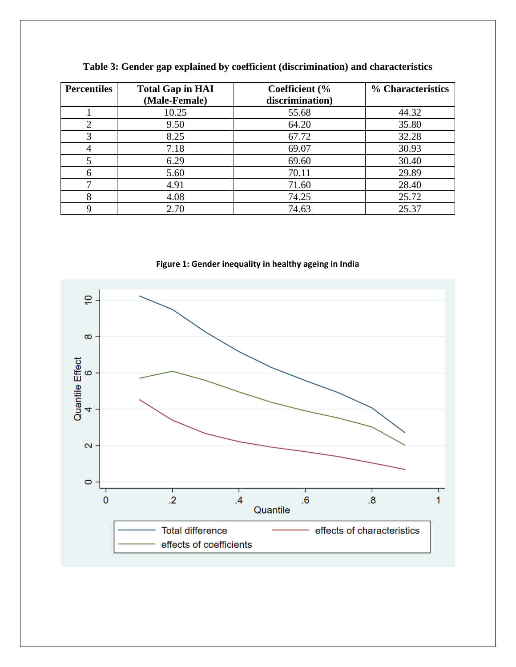| <b>Percentiles</b> | <b>Total Gap in HAI</b> | Coefficient (%  | % Characteristics |
|--------------------|-------------------------|-----------------|-------------------|
|                    | (Male-Female)           | discrimination) |                   |
|                    | 10.25                   | 55.68           | 44.32             |
| ◠                  | 9.50                    | 64.20           | 35.80             |
| 3                  | 8.25                    | 67.72           | 32.28             |
|                    | 7.18                    | 69.07           | 30.93             |
|                    | 6.29                    | 69.60           | 30.40             |
|                    | 5.60                    | 70.11           | 29.89             |
|                    | 4.91                    | 71.60           | 28.40             |
| 8                  | 4.08                    | 74.25           | 25.72             |
|                    | 2.70                    | 74.63           | 25.37             |

**Table 3: Gender gap explained by coefficient (discrimination) and characteristics**

**Figure 1: Gender inequality in healthy ageing in India**

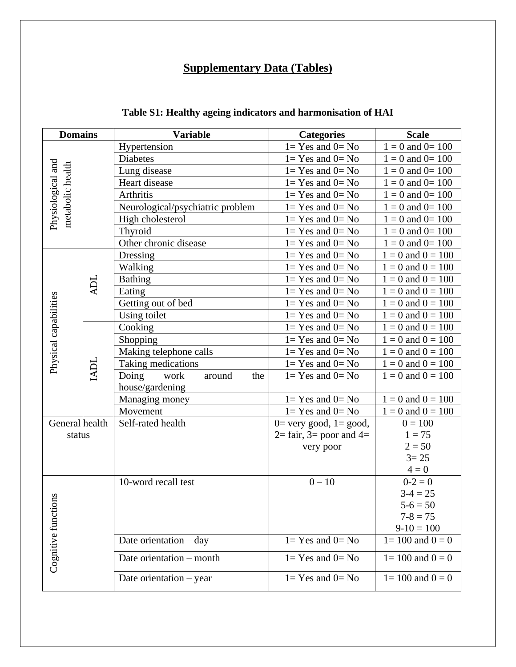# **Supplementary Data (Tables)**

| <b>Domains</b>                        |            | <b>Variable</b>                  | <b>Categories</b>                               | <b>Scale</b>          |
|---------------------------------------|------------|----------------------------------|-------------------------------------------------|-----------------------|
|                                       |            | Hypertension                     | $1 = Yes$ and $0 = No$                          | $1 = 0$ and $0 = 100$ |
| Physiological and<br>metabolic health |            | <b>Diabetes</b>                  | $1 = Yes$ and $0 = No$                          | $1 = 0$ and $0 = 100$ |
|                                       |            | Lung disease                     | $1 = Yes$ and $0 = No$                          | $1 = 0$ and $0 = 100$ |
|                                       |            | Heart disease                    | $1 = Yes$ and $0 = No$                          | $1 = 0$ and $0 = 100$ |
|                                       |            | Arthritis                        | $1 = Yes$ and $0 = No$                          | $1 = 0$ and $0 = 100$ |
|                                       |            | Neurological/psychiatric problem | $1 = Yes$ and $0 = No$                          | $1 = 0$ and $0 = 100$ |
|                                       |            | High cholesterol                 | $1 = Yes$ and $0 = No$                          | $1 = 0$ and $0 = 100$ |
|                                       |            | Thyroid                          | $1 = Yes$ and $0 = No$                          | $1 = 0$ and $0 = 100$ |
|                                       |            | Other chronic disease            | $1 = Yes$ and $0 = No$                          | $1 = 0$ and $0 = 100$ |
|                                       |            | Dressing                         | $1 = Yes$ and $0 = No$                          | $1 = 0$ and $0 = 100$ |
|                                       |            | Walking                          | $1 = Yes$ and $0 = No$                          | $1 = 0$ and $0 = 100$ |
|                                       |            | <b>Bathing</b>                   | $1 = Yes$ and $0 = No$                          | $1 = 0$ and $0 = 100$ |
|                                       | <b>ADL</b> | Eating                           | $1 = Yes$ and $0 = No$                          | $1 = 0$ and $0 = 100$ |
|                                       |            | Getting out of bed               | $1 = Yes$ and $0 = No$                          | $1 = 0$ and $0 = 100$ |
| Physical capabilities                 |            | Using toilet                     | $1 = Yes$ and $0 = No$                          | $1 = 0$ and $0 = 100$ |
|                                       |            | Cooking                          | $1 = Yes$ and $0 = No$                          | $1 = 0$ and $0 = 100$ |
|                                       |            | Shopping                         | $1 = Yes$ and $0 = No$                          | $1 = 0$ and $0 = 100$ |
|                                       |            | Making telephone calls           | $1 = Yes$ and $0 = No$                          | $1 = 0$ and $0 = 100$ |
|                                       | IADL       | Taking medications               | $1 = Yes$ and $0 = No$                          | $1 = 0$ and $0 = 100$ |
|                                       |            | Doing<br>work<br>around<br>the   | $1 = Yes$ and $0 = No$                          | $1 = 0$ and $0 = 100$ |
|                                       |            | house/gardening                  |                                                 |                       |
|                                       |            | Managing money                   | $1 = Yes$ and $0 = No$                          | $1 = 0$ and $0 = 100$ |
|                                       |            | Movement                         | $1 = Yes$ and $0 = No$                          | $1 = 0$ and $0 = 100$ |
| General health                        |            | Self-rated health                | $0=$ very good, $1=$ good,                      | $0 = 100$             |
| status                                |            |                                  | $2 = \text{fair}$ , $3 = \text{poor}$ and $4 =$ | $1 = 75$              |
|                                       |            |                                  | very poor                                       | $2 = 50$              |
|                                       |            |                                  |                                                 | $3 = 25$              |
|                                       |            |                                  |                                                 | $4=0$                 |
|                                       |            | 10-word recall test              | $0 - 10$                                        | $0 - 2 = 0$           |
|                                       |            |                                  |                                                 | $3-4 = 25$            |
| Cognitive functions                   |            |                                  |                                                 | $5 - 6 = 50$          |
|                                       |            |                                  |                                                 | $7 - 8 = 75$          |
|                                       |            |                                  |                                                 | $9-10=100$            |
|                                       |            | Date orientation $-$ day         | $1 = Yes$ and $0 = No$                          | $1 = 100$ and $0 = 0$ |
|                                       |            | Date orientation – month         | $1 = Yes$ and $0 = No$                          | $1 = 100$ and $0 = 0$ |
|                                       |            | Date orientation $-$ year        | $1 = Yes$ and $0 = No$                          | $1 = 100$ and $0 = 0$ |

# **Table S1: Healthy ageing indicators and harmonisation of HAI**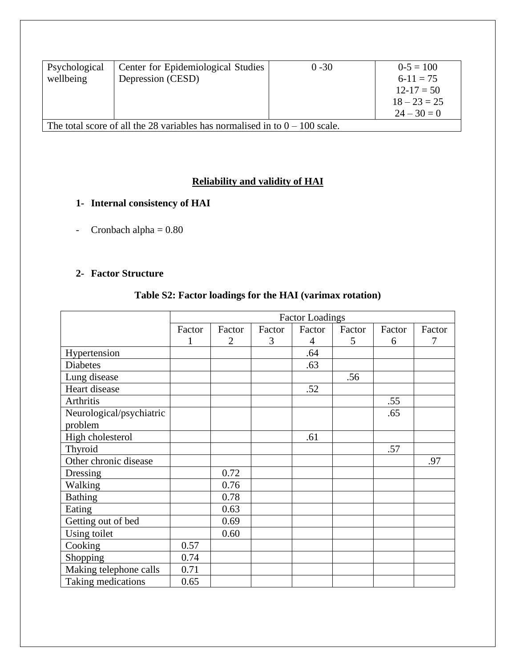| Psychological<br>wellbeing                                                    | Center for Epidemiological Studies<br>Depression (CESD) | $0 - 30$ | $0-5=100$<br>$6-11=75$<br>$12 - 17 = 50$<br>$18 - 23 = 25$ |  |  |
|-------------------------------------------------------------------------------|---------------------------------------------------------|----------|------------------------------------------------------------|--|--|
|                                                                               |                                                         |          | $24 - 30 = 0$                                              |  |  |
| The total score of all the 28 variables has normalised in to $0 - 100$ scale. |                                                         |          |                                                            |  |  |

## **Reliability and validity of HAI**

## **1- Internal consistency of HAI**

- Cronbach alpha  $= 0.80$ 

## **2- Factor Structure**

## **Table S2: Factor loadings for the HAI (varimax rotation)**

|                          |        | <b>Factor Loadings</b> |        |                |        |        |        |
|--------------------------|--------|------------------------|--------|----------------|--------|--------|--------|
|                          | Factor | Factor                 | Factor | Factor         | Factor | Factor | Factor |
|                          | 1      | $\overline{2}$         | 3      | $\overline{4}$ | 5      | 6      | 7      |
| Hypertension             |        |                        |        | .64            |        |        |        |
| <b>Diabetes</b>          |        |                        |        | .63            |        |        |        |
| Lung disease             |        |                        |        |                | .56    |        |        |
| Heart disease            |        |                        |        | .52            |        |        |        |
| Arthritis                |        |                        |        |                |        | .55    |        |
| Neurological/psychiatric |        |                        |        |                |        | .65    |        |
| problem                  |        |                        |        |                |        |        |        |
| High cholesterol         |        |                        |        | .61            |        |        |        |
| Thyroid                  |        |                        |        |                |        | .57    |        |
| Other chronic disease    |        |                        |        |                |        |        | .97    |
| Dressing                 |        | 0.72                   |        |                |        |        |        |
| Walking                  |        | 0.76                   |        |                |        |        |        |
| <b>Bathing</b>           |        | 0.78                   |        |                |        |        |        |
| Eating                   |        | 0.63                   |        |                |        |        |        |
| Getting out of bed       |        | 0.69                   |        |                |        |        |        |
| Using toilet             |        | 0.60                   |        |                |        |        |        |
| Cooking                  | 0.57   |                        |        |                |        |        |        |
| <b>Shopping</b>          | 0.74   |                        |        |                |        |        |        |
| Making telephone calls   | 0.71   |                        |        |                |        |        |        |
| Taking medications       | 0.65   |                        |        |                |        |        |        |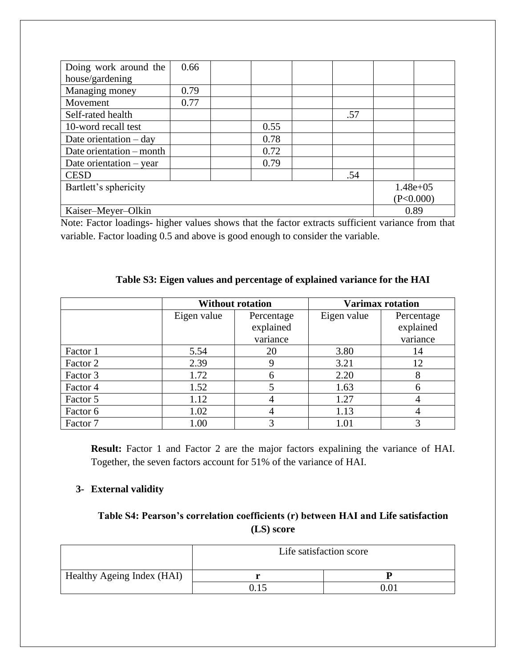| Doing work around the                | 0.66      |  |      |  |     |  |  |
|--------------------------------------|-----------|--|------|--|-----|--|--|
| house/gardening                      |           |  |      |  |     |  |  |
| Managing money                       | 0.79      |  |      |  |     |  |  |
| Movement                             | 0.77      |  |      |  |     |  |  |
| Self-rated health                    |           |  |      |  | .57 |  |  |
| 10-word recall test                  |           |  | 0.55 |  |     |  |  |
| Date orientation $-$ day             |           |  | 0.78 |  |     |  |  |
| Date orientation – month             |           |  | 0.72 |  |     |  |  |
| Date orientation $-$ year            |           |  | 0.79 |  |     |  |  |
| <b>CESD</b>                          |           |  |      |  | .54 |  |  |
| Bartlett's sphericity<br>$1.48e+0.5$ |           |  |      |  |     |  |  |
|                                      | (P<0.000) |  |      |  |     |  |  |
| 0.89<br>Kaiser-Meyer-Olkin           |           |  |      |  |     |  |  |

Note: Factor loadings- higher values shows that the factor extracts sufficient variance from that variable. Factor loading 0.5 and above is good enough to consider the variable.

## **Table S3: Eigen values and percentage of explained variance for the HAI**

|          |             | <b>Without rotation</b> | <b>Varimax rotation</b> |            |  |
|----------|-------------|-------------------------|-------------------------|------------|--|
|          | Eigen value | Percentage              | Eigen value             | Percentage |  |
|          |             | explained               |                         | explained  |  |
|          |             | variance                |                         | variance   |  |
| Factor 1 | 5.54        | 20                      | 3.80                    | 14         |  |
| Factor 2 | 2.39        | 9                       | 3.21                    | 12         |  |
| Factor 3 | 1.72        | 6                       | 2.20                    |            |  |
| Factor 4 | 1.52        |                         | 1.63                    | 6          |  |
| Factor 5 | 1.12        |                         | 1.27                    |            |  |
| Factor 6 | 1.02        |                         | 1.13                    |            |  |
| Factor 7 | 1.00        |                         | 1.01                    | 3          |  |

**Result:** Factor 1 and Factor 2 are the major factors expalining the variance of HAI. Together, the seven factors account for 51% of the variance of HAI.

#### **3- External validity**

## **Table S4: Pearson's correlation coefficients (r) between HAI and Life satisfaction (LS) score**

|                            | Life satisfaction score |     |  |  |  |
|----------------------------|-------------------------|-----|--|--|--|
| Healthy Ageing Index (HAI) |                         |     |  |  |  |
|                            |                         | 0 O |  |  |  |